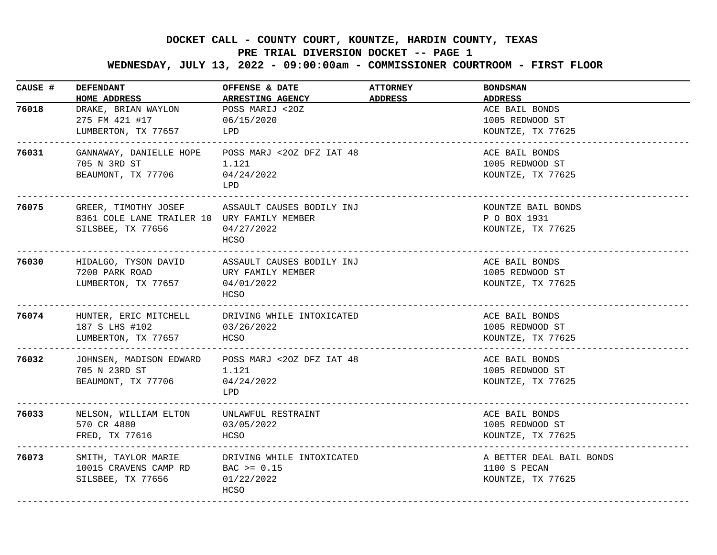## **DOCKET CALL - COUNTY COURT, KOUNTZE, HARDIN COUNTY, TEXAS**

## **PRE TRIAL DIVERSION DOCKET -- PAGE 1**

 **WEDNESDAY, JULY 13, 2022 - 09:00:00am - COMMISSIONER COURTROOM - FIRST FLOOR**

| CAUSE # | <b>DEFENDANT</b><br><b>HOME ADDRESS</b>                                                                                        | OFFENSE & DATE<br><b>ARRESTING AGENCY</b> | <b>ATTORNEY</b><br>ADDRESS | <b>BONDSMAN</b><br><b>ADDRESS</b>                             |
|---------|--------------------------------------------------------------------------------------------------------------------------------|-------------------------------------------|----------------------------|---------------------------------------------------------------|
| 76018   | DRAKE, BRIAN WAYLON<br>275 FM 421 #17<br>LUMBERTON, TX 77657                                                                   | POSS MARIJ <20Z<br>06/15/2020<br>LPD      |                            | ACE BAIL BONDS<br>1005 REDWOOD ST<br>KOUNTZE, TX 77625        |
| 76031   | GANNAWAY, DANIELLE HOPE POSS MARJ <20Z DFZ IAT 48<br>705 N 3RD ST<br>BEAUMONT, TX 77706 04/24/2022                             | 1.121<br>LPD                              |                            | ACE BAIL BONDS<br>1005 REDWOOD ST<br>KOUNTZE, TX 77625        |
| 76075   | GREER, TIMOTHY JOSEF ASSAULT CAUSES BODILY INJ<br>8361 COLE LANE TRAILER 10 URY FAMILY MEMBER<br>SILSBEE, TX 77656             | 04/27/2022<br>HCSO                        |                            | KOUNTZE BAIL BONDS<br>P O BOX 1931<br>KOUNTZE, TX 77625       |
| 76030   | HIDALGO, TYSON DAVID ASSAULT CAUSES BODILY INJ<br>7200 PARK ROAD<br>LUMBERTON, TX 77657 04/01/2022<br>------------------------ | URY FAMILY MEMBER<br>HCSO                 |                            | ACE BAIL BONDS<br>1005 REDWOOD ST<br>KOUNTZE, TX 77625        |
| 76074   | HUNTER, ERIC MITCHELL DRIVING WHILE INTOXICATED<br>187 S LHS #102<br>LUMBERTON, TX 77657 HCSO<br>--------------------------    | 03/26/2022                                |                            | ACE BAIL BONDS<br>1005 REDWOOD ST<br>KOUNTZE, TX 77625        |
| 76032   | JOHNSEN, MADISON EDWARD POSS MARJ <20Z DFZ IAT 48<br>705 N 23RD ST<br>BEAUMONT, TX 77706                                       | 1.121<br>04/24/2022<br>T.PD.              |                            | ACE BAIL BONDS<br>1005 REDWOOD ST<br>KOUNTZE, TX 77625        |
| 76033   | NELSON, WILLIAM ELTON UNLAWFUL RESTRAINT<br>570 CR 4880<br>FRED, TX 77616                                                      | 03/05/2022<br>HCSO                        |                            | ACE BAIL BONDS<br>1005 REDWOOD ST<br>KOUNTZE, TX 77625        |
| 76073   | SMITH, TAYLOR MARIE TRIVING WHILE INTOXICATED<br>10015 CRAVENS CAMP RD BAC >= 0.15<br>SILSBEE, TX 77656                        | 01/22/2022<br>HCSO                        |                            | A BETTER DEAL BAIL BONDS<br>1100 S PECAN<br>KOUNTZE, TX 77625 |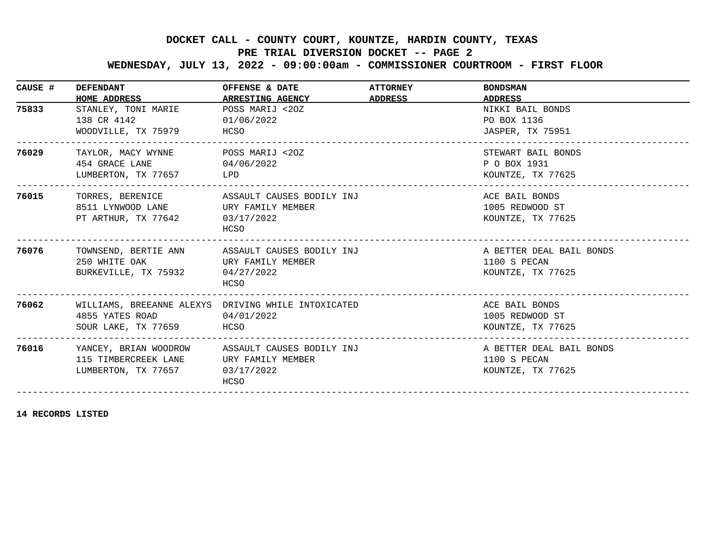## **DOCKET CALL - COUNTY COURT, KOUNTZE, HARDIN COUNTY, TEXAS**

## **PRE TRIAL DIVERSION DOCKET -- PAGE 2**

 **WEDNESDAY, JULY 13, 2022 - 09:00:00am - COMMISSIONER COURTROOM - FIRST FLOOR**

| CAUSE # | <b>DEFENDANT</b><br>HOME ADDRESS                                                                                       | OFFENSE & DATE<br><b>ARRESTING AGENCY</b>                        | <b>ATTORNEY</b><br>ADDRESS | <b>BONDSMAN</b><br>ADDRESS                                    |
|---------|------------------------------------------------------------------------------------------------------------------------|------------------------------------------------------------------|----------------------------|---------------------------------------------------------------|
| 75833   | STANLEY, TONI MARIE<br>138 CR 4142<br>WOODVILLE, TX 75979 HCSO                                                         | POSS MARIJ <20Z<br>01/06/2022                                    |                            | NIKKI BAIL BONDS<br>PO BOX 1136<br>JASPER, TX 75951           |
| 76029   | TAYLOR, MACY WYNNE POSS MARIJ <20Z<br>454 GRACE LANE<br>LUMBERTON, TX 77657 LPD                                        | 04/06/2022                                                       |                            | STEWART BAIL BONDS<br>P O BOX 1931<br>KOUNTZE, TX 77625       |
| 76015   | 8511 LYNWOOD LANE  URY FAMILY MEMBER<br>PT ARTHUR, TX 77642                                                            | TORRES, BERENICE ASSAULT CAUSES BODILY INJ<br>03/17/2022<br>HCSO |                            | ACE BAIL BONDS<br>1005 REDWOOD ST<br>KOUNTZE, TX 77625        |
| 76076   | TOWNSEND, BERTIE ANN ASSAULT CAUSES BODILY INJ<br>250 WHITE OAK 6 URY FAMILY MEMBER<br>BURKEVILLE, TX 75932 04/27/2022 | HCSO                                                             |                            | A BETTER DEAL BAIL BONDS<br>1100 S PECAN<br>KOUNTZE, TX 77625 |
| 76062   | WILLIAMS, BREEANNE ALEXYS DRIVING WHILE INTOXICATED<br>4855 YATES ROAD 04/01/2022<br>SOUR LAKE, TX 77659 HCSO          |                                                                  |                            | ACE BAIL BONDS<br>1005 REDWOOD ST<br>KOUNTZE, TX 77625        |
| 76016   | YANCEY, BRIAN WOODROW ASSAULT CAUSES BODILY INJ<br>115 TIMBERCREEK LANE<br>LUMBERTON, TX 77657 03/17/2022              | URY FAMILY MEMBER<br>HCSO                                        |                            | A BETTER DEAL BAIL BONDS<br>1100 S PECAN<br>KOUNTZE, TX 77625 |

**14 RECORDS LISTED**